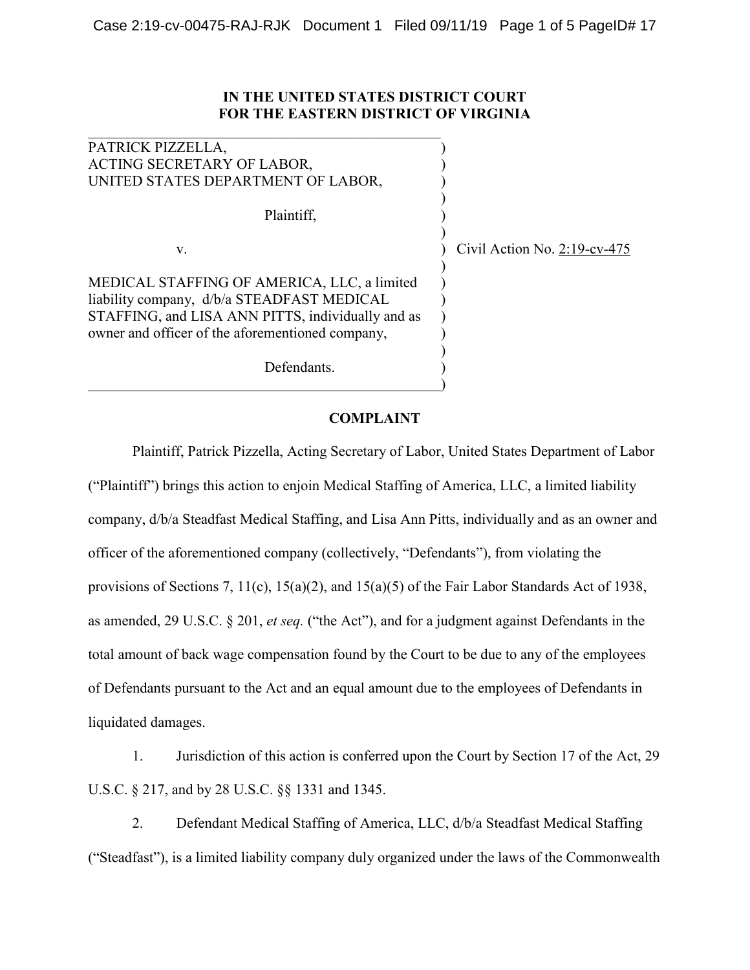## **IN THE UNITED STATES DISTRICT COURT FOR THE EASTERN DISTRICT OF VIRGINIA**

| PATRICK PIZZELLA,                                 |                                 |
|---------------------------------------------------|---------------------------------|
| ACTING SECRETARY OF LABOR,                        |                                 |
| UNITED STATES DEPARTMENT OF LABOR,                |                                 |
| Plaintiff,                                        |                                 |
|                                                   |                                 |
| V.                                                | Civil Action No. $2:19$ -cv-475 |
|                                                   |                                 |
| MEDICAL STAFFING OF AMERICA, LLC, a limited       |                                 |
| liability company, d/b/a STEADFAST MEDICAL        |                                 |
| STAFFING, and LISA ANN PITTS, individually and as |                                 |
| owner and officer of the aforementioned company,  |                                 |
|                                                   |                                 |
| Defendants.                                       |                                 |
|                                                   |                                 |

 $\overline{\mathcal{L}}$  , and the contribution of the contribution of the contribution of the contribution of the contribution of the contribution of the contribution of the contribution of the contribution of the contribution of the

## **COMPLAINT**

Plaintiff, Patrick Pizzella, Acting Secretary of Labor, United States Department of Labor ("Plaintiff") brings this action to enjoin Medical Staffing of America, LLC, a limited liability company, d/b/a Steadfast Medical Staffing, and Lisa Ann Pitts, individually and as an owner and officer of the aforementioned company (collectively, "Defendants"), from violating the provisions of Sections 7, 11(c), 15(a)(2), and 15(a)(5) of the Fair Labor Standards Act of 1938, as amended, 29 U.S.C. § 201, *et seq.* ("the Act"), and for a judgment against Defendants in the total amount of back wage compensation found by the Court to be due to any of the employees of Defendants pursuant to the Act and an equal amount due to the employees of Defendants in liquidated damages.

1. Jurisdiction of this action is conferred upon the Court by Section 17 of the Act, 29 U.S.C. § 217, and by 28 U.S.C. §§ 1331 and 1345.

2. Defendant Medical Staffing of America, LLC, d/b/a Steadfast Medical Staffing ("Steadfast"), is a limited liability company duly organized under the laws of the Commonwealth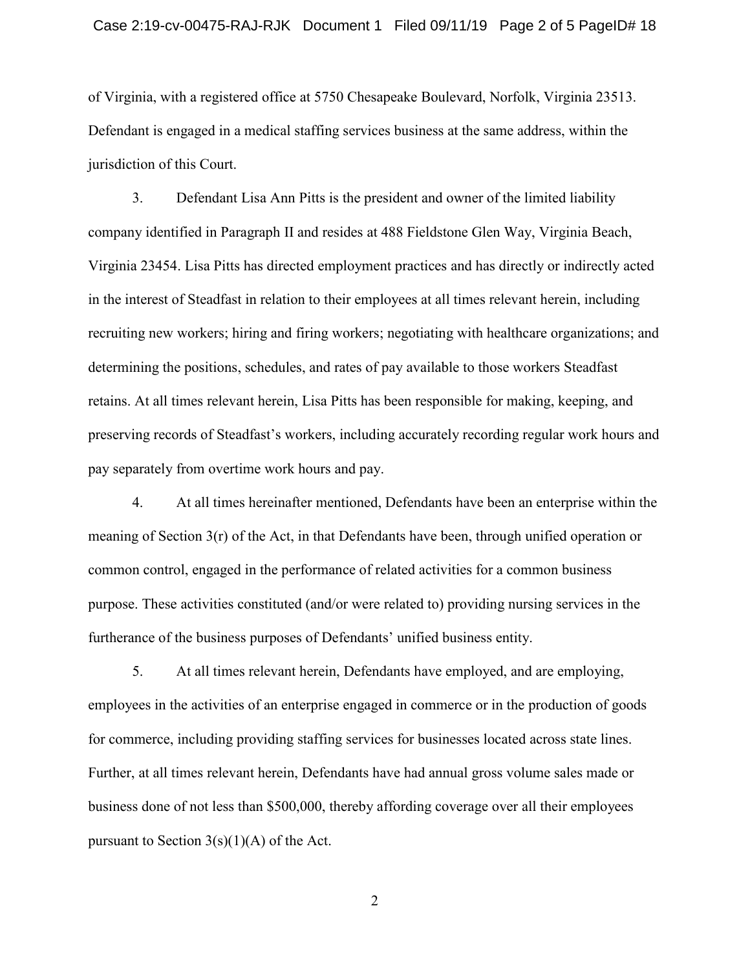of Virginia, with a registered office at 5750 Chesapeake Boulevard, Norfolk, Virginia 23513. Defendant is engaged in a medical staffing services business at the same address, within the jurisdiction of this Court.

3. Defendant Lisa Ann Pitts is the president and owner of the limited liability company identified in Paragraph II and resides at 488 Fieldstone Glen Way, Virginia Beach, Virginia 23454. Lisa Pitts has directed employment practices and has directly or indirectly acted in the interest of Steadfast in relation to their employees at all times relevant herein, including recruiting new workers; hiring and firing workers; negotiating with healthcare organizations; and determining the positions, schedules, and rates of pay available to those workers Steadfast retains. At all times relevant herein, Lisa Pitts has been responsible for making, keeping, and preserving records of Steadfast's workers, including accurately recording regular work hours and pay separately from overtime work hours and pay.

4. At all times hereinafter mentioned, Defendants have been an enterprise within the meaning of Section 3(r) of the Act, in that Defendants have been, through unified operation or common control, engaged in the performance of related activities for a common business purpose. These activities constituted (and/or were related to) providing nursing services in the furtherance of the business purposes of Defendants' unified business entity.

5. At all times relevant herein, Defendants have employed, and are employing, employees in the activities of an enterprise engaged in commerce or in the production of goods for commerce, including providing staffing services for businesses located across state lines. Further, at all times relevant herein, Defendants have had annual gross volume sales made or business done of not less than \$500,000, thereby affording coverage over all their employees pursuant to Section  $3(s)(1)(A)$  of the Act.

2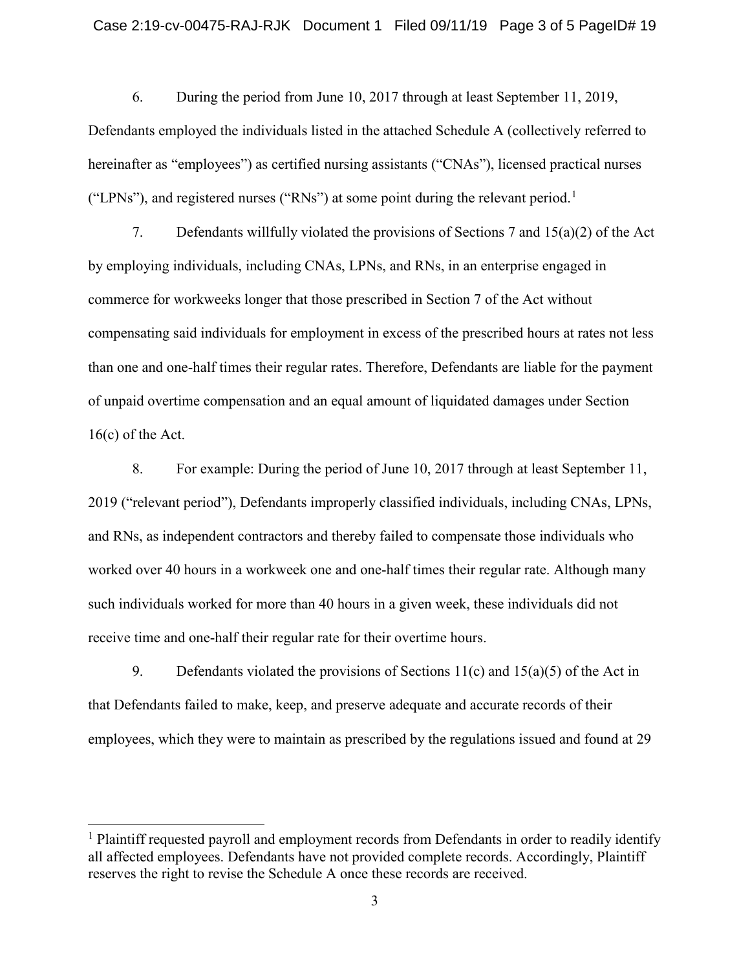6. During the period from June 10, 2017 through at least September 11, 2019, Defendants employed the individuals listed in the attached Schedule A (collectively referred to hereinafter as "employees") as certified nursing assistants ("CNAs"), licensed practical nurses ("LPNs"), and registered nurses ("RNs") at some point during the relevant period.<sup>[1](#page-2-0)</sup>

7. Defendants willfully violated the provisions of Sections 7 and 15(a)(2) of the Act by employing individuals, including CNAs, LPNs, and RNs, in an enterprise engaged in commerce for workweeks longer that those prescribed in Section 7 of the Act without compensating said individuals for employment in excess of the prescribed hours at rates not less than one and one-half times their regular rates. Therefore, Defendants are liable for the payment of unpaid overtime compensation and an equal amount of liquidated damages under Section 16(c) of the Act.

8. For example: During the period of June 10, 2017 through at least September 11, 2019 ("relevant period"), Defendants improperly classified individuals, including CNAs, LPNs, and RNs, as independent contractors and thereby failed to compensate those individuals who worked over 40 hours in a workweek one and one-half times their regular rate. Although many such individuals worked for more than 40 hours in a given week, these individuals did not receive time and one-half their regular rate for their overtime hours.

9. Defendants violated the provisions of Sections  $11(c)$  and  $15(a)(5)$  of the Act in that Defendants failed to make, keep, and preserve adequate and accurate records of their employees, which they were to maintain as prescribed by the regulations issued and found at 29

<span id="page-2-0"></span><sup>&</sup>lt;sup>1</sup> Plaintiff requested payroll and employment records from Defendants in order to readily identify all affected employees. Defendants have not provided complete records. Accordingly, Plaintiff reserves the right to revise the Schedule A once these records are received.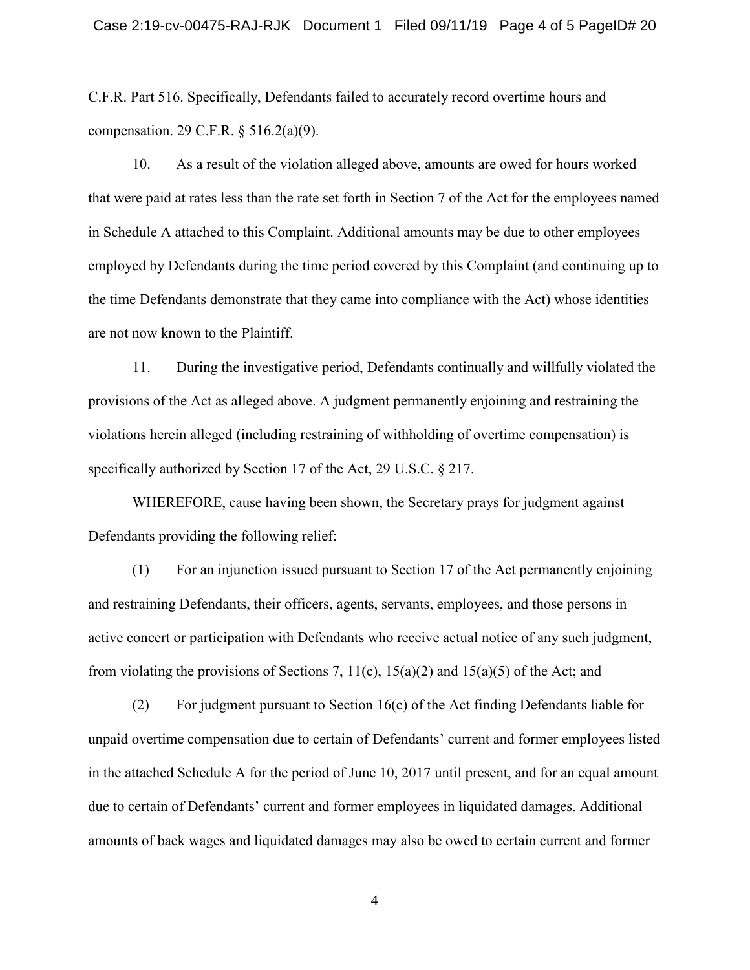C.F.R. Part 516. Specifically, Defendants failed to accurately record overtime hours and compensation. 29 C.F.R. § 516.2(a)(9).

10. As a result of the violation alleged above, amounts are owed for hours worked that were paid at rates less than the rate set forth in Section 7 of the Act for the employees named in Schedule A attached to this Complaint. Additional amounts may be due to other employees employed by Defendants during the time period covered by this Complaint (and continuing up to the time Defendants demonstrate that they came into compliance with the Act) whose identities are not now known to the Plaintiff.

11. During the investigative period, Defendants continually and willfully violated the provisions of the Act as alleged above. A judgment permanently enjoining and restraining the violations herein alleged (including restraining of withholding of overtime compensation) is specifically authorized by Section 17 of the Act, 29 U.S.C. § 217.

WHEREFORE, cause having been shown, the Secretary prays for judgment against Defendants providing the following relief:

(1) For an injunction issued pursuant to Section 17 of the Act permanently enjoining and restraining Defendants, their officers, agents, servants, employees, and those persons in active concert or participation with Defendants who receive actual notice of any such judgment, from violating the provisions of Sections 7,  $11(c)$ ,  $15(a)(2)$  and  $15(a)(5)$  of the Act; and

(2) For judgment pursuant to Section 16(c) of the Act finding Defendants liable for unpaid overtime compensation due to certain of Defendants' current and former employees listed in the attached Schedule A for the period of June 10, 2017 until present, and for an equal amount due to certain of Defendants' current and former employees in liquidated damages. Additional amounts of back wages and liquidated damages may also be owed to certain current and former

4